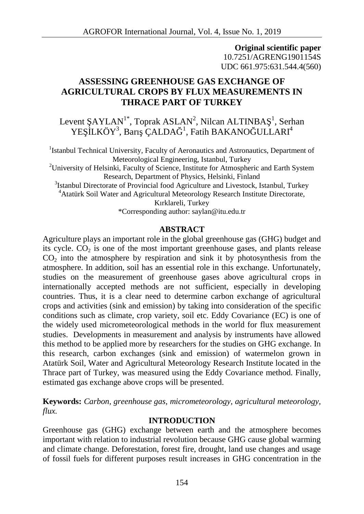**Original scientific paper** 10.7251/AGRENG1901154S UDC 661.975:631.544.4(560)

# **ASSESSING GREENHOUSE GAS EXCHANGE OF AGRICULTURAL CROPS BY FLUX MEASUREMENTS IN THRACE PART OF TURKEY**

Levent  $AYLAN<sup>1*</sup>, Toprak ASLAN<sup>2</sup>, Nilcan ALTINGA<sup>-1</sup>, Serhan$ YE LKÖY<sup>3</sup>, Barı ÇALDA<sup>1</sup>, Fatih BAKANO ULLARI<sup>4</sup>

<sup>1</sup>Istanbul Technical University, Faculty of Aeronautics and Astronautics, Department of Meteorological Engineering, Istanbul, Turkey

<sup>2</sup>University of Helsinki, Faculty of Science, Institute for Atmospheric and Earth System Research, Department of Physics, Helsinki, Finland

<sup>3</sup>Istanbul Directorate of Provincial food Agriculture and Livestock, Istanbul, Turkey <sup>4</sup>Atatürk Soil Water and Agricultural Meteorology Research Institute Directorate,

Kırklareli, Turkey

\*Corresponding author: saylan@itu.edu.tr

## **ABSTRACT**

Agriculture plays an important role in the global greenhouse gas (GHG) budget and its cycle.  $CO<sub>2</sub>$  is one of the most important greenhouse gases, and plants release  $CO<sub>2</sub>$  into the atmosphere by respiration and sink it by photosynthesis from the atmosphere. In addition, soil has an essential role in this exchange. Unfortunately, studies on the measurement of greenhouse gases above agricultural crops in internationally accepted methods are not sufficient, especially in developing countries. Thus, it is a clear need to determine carbon exchange of agricultural crops and activities (sink and emission) by taking into consideration of the specific conditions such as climate, crop variety, soil etc. Eddy Covariance (EC) is one of the widely used micrometeorological methods in the world for flux measurement studies. Developments in measurement and analysis by instruments have allowed this method to be applied more by researchers for the studies on GHG exchange. In this research, carbon exchanges (sink and emission) of watermelon grown in Atatürk Soil, Water and Agricultural Meteorology Research Institute located in the Thrace part of Turkey, was measured using the Eddy Covariance method. Finally, estimated gas exchange above crops will be presented.

**Keywords:** *Carbon, greenhouse gas, micrometeorology, agricultural meteorology, flux.*

## **INTRODUCTION**

Greenhouse gas (GHG) exchange between earth and the atmosphere becomes important with relation to industrial revolution because GHG cause global warming and climate change. Deforestation, forest fire, drought, land use changes and usage of fossil fuels for different purposes result increases in GHG concentration in the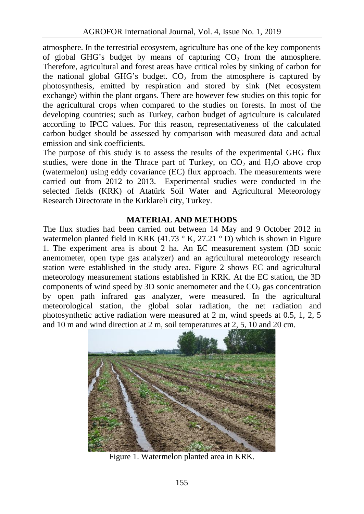atmosphere. In the terrestrial ecosystem, agriculture has one of the key components of global GHG's budget by means of capturing  $CO<sub>2</sub>$  from the atmosphere. Therefore, agricultural and forest areas have critical roles by sinking of carbon for the national global GHG's budget.  $CO<sub>2</sub>$  from the atmosphere is captured by photosynthesis, emitted by respiration and stored by sink (Net ecosystem exchange) within the plant organs. There are however few studies on this topic for the agricultural crops when compared to the studies on forests. In most of the developing countries; such as Turkey, carbon budget of agriculture is calculated according to IPCC values. For this reason, representativeness of the calculated carbon budget should be assessed by comparison with measured data and actual emission and sink coefficients.

The purpose of this study is to assess the results of the experimental GHG flux studies, were done in the Thrace part of Turkey, on  $CO<sub>2</sub>$  and  $H<sub>2</sub>O$  above crop (watermelon) using eddy covariance (EC) flux approach. The measurements were carried out from 2012 to 2013. Experimental studies were conducted in the selected fields (KRK) of Atatürk Soil Water and Agricultural Meteorology Research Directorate in the Kırklareli city, Turkey.

## **MATERIAL AND METHODS**

The flux studies had been carried out between 14 May and 9 October 2012 in watermelon planted field in KRK (41.73  $\degree$  K, 27.21  $\degree$  D) which is shown in Figure 1. The experiment area is about 2 ha. An EC measurement system (3D sonic anemometer, open type gas analyzer) and an agricultural meteorology research station were established in the study area. Figure 2 shows EC and agricultural meteorology measurement stations established in KRK. At the EC station, the 3D components of wind speed by 3D sonic anemometer and the  $CO<sub>2</sub>$  gas concentration by open path infrared gas analyzer, were measured. In the agricultural meteorological station, the global solar radiation, the net radiation and photosynthetic active radiation were measured at 2 m, wind speeds at 0.5, 1, 2, 5 and 10 m and wind direction at 2 m, soil temperatures at 2, 5, 10 and 20 cm.



Figure 1. Watermelon planted area in KRK.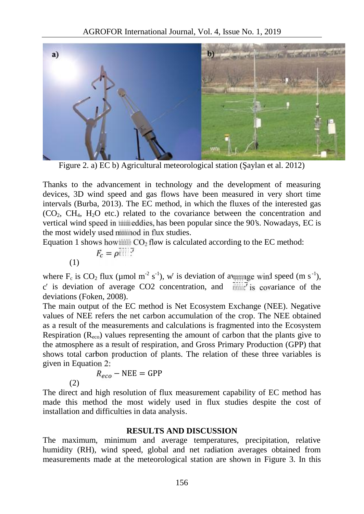

Figure 2. a) EC b) Agricultural meteorological station ( $\alpha$  aylan et al. 2012)

Thanks to the advancement in technology and the development of measuring devices, 3D wind speed and gas flows have been measured in very short time intervals (Burba, 2013). The EC method, in which the fluxes of the interested gas  $(CO<sub>2</sub>, CH<sub>4</sub>, H<sub>2</sub>O$  etc.) related to the covariance between the concentration and vertical wind speed in the eddies, has been popular since the 90's. Nowadays, EC is the most widely used manipol in flux studies.

Equation 1 shows how  $\frac{1}{2}$  flow is calculated according to the EC method:

$$
F_c = \rho \overline{\mathbb{H}} \overline{\mathbb{H}}^7
$$

where  $F_c$  is  $CO_2$  flux (µmol m<sup>-2</sup> s<sup>-1</sup>), w is deviation of a verage wind speed (m s<sup>-1</sup>), c is deviation of average CO2 concentration, and  $\overline{\text{while}}$  is covariance of the deviations (Foken, 2008).

The main output of the EC method is Net Ecosystem Exchange (NEE). Negative values of NEE refers the net carbon accumulation of the crop. The NEE obtained as a result of the measurements and calculations is fragmented into the Ecosystem Respiration  $(R_{\text{evo}})$  values representing the amount of carbon that the plants give to the atmosphere as a result of respiration, and Gross Primary Production (GPP) that shows total carbon production of plants. The relation of these three variables is given in Equation 2:

$$
R_{eco} - \text{NEE} = \text{GPP}
$$
\n(2)

The direct and high resolution of flux measurement capability of EC method has made this method the most widely used in flux studies despite the cost of installation and difficulties in data analysis.

### **RESULTS AND DISCUSSION**

The maximum, minimum and average temperatures, precipitation, relative humidity (RH), wind speed, global and net radiation averages obtained from measurements made at the meteorological station are shown in Figure 3. In this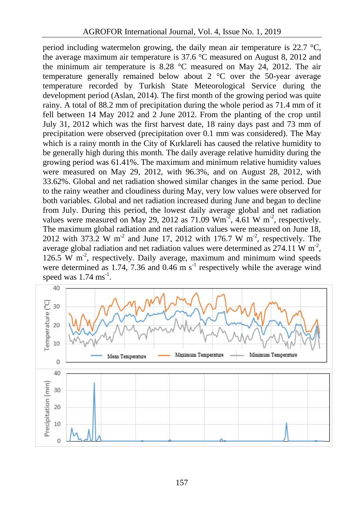period including watermelon growing, the daily mean air temperature is 22.7 °C, the average maximum air temperature is 37.6 °C measured on August 8, 2012 and the minimum air temperature is 8.28 °C measured on May 24, 2012. The air temperature generally remained below about 2 °C over the 50-year average temperature recorded by Turkish State Meteorological Service during the development period (Aslan, 2014). The first month of the growing period was quite rainy. A total of 88.2 mm of precipitation during the whole period as 71.4 mm of it fell between 14 May 2012 and 2 June 2012. From the planting of the crop until July 31, 2012 which was the first harvest date, 18 rainy days past and 73 mm of precipitation were observed (precipitation over 0.1 mm was considered). The May which is a rainy month in the City of Kırklareli has caused the relative humidity to be generally high during this month. The daily average relative humidity during the growing period was 61.41%. The maximum and minimum relative humidity values were measured on May 29, 2012, with 96.3%, and on August 28, 2012, with 33.62%. Global and net radiation showed similar changes in the same period. Due to the rainy weather and cloudiness during May, very low values were observed for both variables. Global and net radiation increased during June and began to decline from July. During this period, the lowest daily average global and net radiation values were measured on May 29, 2012 as 71.09  $Wm<sup>-2</sup>$ , 4.61  $W m<sup>-2</sup>$ , respectively. The maximum global radiation and net radiation values were measured on June 18, 2012 with 373.2 W m<sup>-2</sup> and June 17, 2012 with 176.7 W m<sup>-2</sup>, respectively. The average global radiation and net radiation values were determined as  $274.11 \text{ W m}^2$ , , 126.5 W  $m<sup>-2</sup>$ , respectively. Daily average, maximum and minimum wind speeds were determined as 1.74, 7.36 and 0.46 m  $s^{-1}$  respectively while the average wind speed was  $1.74 \text{ ms}^{-1}$ .

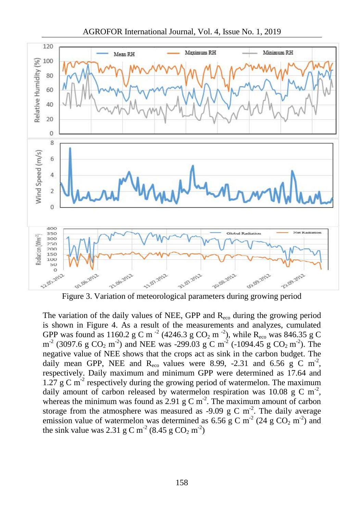

AGROFOR International Journal, Vol. 4, Issue No. 1, 2019

Figure 3. Variation of meteorological parameters during growing period

The variation of the daily values of NEE, GPP and  $R_{\text{eco}}$  during the growing period is shown in Figure 4. As a result of the measurements and analyzes, cumulated GPP was found as 1160.2 g C m<sup>-2</sup> (4246.3 g CO<sub>2</sub> m<sup>-2</sup>), while R<sub>eco</sub> was 846.35 g C  $m^2$  (3097.6 g CO<sub>2</sub> m<sup>-2</sup>) and NEE was -299.03 g C m<sup>-2</sup> (-1094.45 g CO<sub>2</sub> m<sup>-2</sup>). The negative value of NEE shows that the crops act as sink in the carbon budget. The daily mean GPP, NEE and  $R_{\text{eco}}$  values were 8.99, -2.31 and 6.56 g C m<sup>-2</sup>, respectively. Daily maximum and minimum GPP were determined as 17.64 and 1.27 g C m<sup>-2</sup> respectively during the growing period of watermelon. The maximum daily amount of carbon released by watermelon respiration was 10.08 g C m<sup>-2</sup>, whereas the minimum was found as  $2.91 \text{ g C m}^2$ . The maximum amount of carbon storage from the atmosphere was measured as -9.09 g C  $m<sup>2</sup>$ . The daily average emission value of watermelon was determined as 6.56 g C m<sup>-2</sup> (24 g CO<sub>2</sub> m<sup>-2</sup>) and the sink value was 2.31 g C m<sup>-2</sup> (8.45 g CO<sub>2</sub> m<sup>-2</sup>)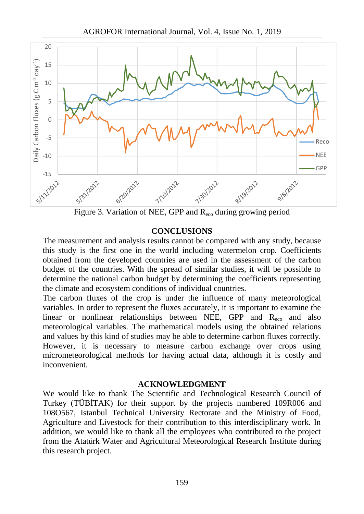

Figure 3. Variation of NEE, GPP and Reco during growing period

### **CONCLUSIONS**

The measurement and analysis results cannot be compared with any study, because this study is the first one in the world including watermelon crop. Coefficients obtained from the developed countries are used in the assessment of the carbon budget of the countries. With the spread of similar studies, it will be possible to determine the national carbon budget by determining the coefficients representing the climate and ecosystem conditions of individual countries.

The carbon fluxes of the crop is under the influence of many meteorological variables. In order to represent the fluxes accurately, it is important to examine the linear or nonlinear relationships between NEE, GPP and  $R_{\text{eco}}$  and also meteorological variables. The mathematical models using the obtained relations and values by this kind of studies may be able to determine carbon fluxes correctly. However, it is necessary to measure carbon exchange over crops using micrometeorological methods for having actual data, although it is costly and inconvenient.

### **ACKNOWLEDGMENT**

We would like to thank The Scientific and Technological Research Council of Turkey (TÜB TAK) for their support by the projects numbered 109R006 and 108O567, Istanbul Technical University Rectorate and the Ministry of Food, Agriculture and Livestock for their contribution to this interdisciplinary work. In addition, we would like to thank all the employees who contributed to the project from the Atatürk Water and Agricultural Meteorological Research Institute during this research project.